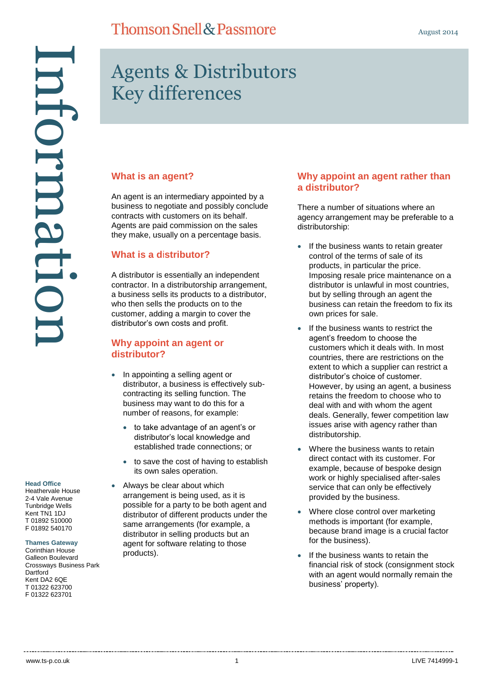# Information nformati

**Head Office**

Heathervale House 2-4 Vale Avenue Tunbridge Wells Kent TN1 1DJ T 01892 510000 F 01892 540170

### **Thames Gateway**

Corinthian House Galleon Boulevard Crossways Business Park **Dartford** Kent DA2 6QE T 01322 623700 F 01322 623701

# Agents & Distributors Key differences

### **What is an agent?**

An agent is an intermediary appointed by a business to negotiate and possibly conclude contracts with customers on its behalf. Agents are paid commission on the sales they make, usually on a percentage basis.

### **What is a d**i**stributor?**

A distributor is essentially an independent contractor. In a distributorship arrangement, a business sells its products to a distributor, who then sells the products on to the customer, adding a margin to cover the distributor's own costs and profit.

### **Why appoint an agent or distributor?**

- In appointing a selling agent or distributor, a business is effectively subcontracting its selling function. The business may want to do this for a number of reasons, for example:
	- to take advantage of an agent's or distributor's local knowledge and established trade connections; or
	- to save the cost of having to establish its own sales operation.
	- Always be clear about which arrangement is being used, as it is possible for a party to be both agent and distributor of different products under the same arrangements (for example, a distributor in selling products but an agent for software relating to those products).

### **Why appoint an agent rather than a distributor?**

There a number of situations where an agency arrangement may be preferable to a distributorship:

- If the business wants to retain greater control of the terms of sale of its products, in particular the price. Imposing resale price maintenance on a distributor is unlawful in most countries, but by selling through an agent the business can retain the freedom to fix its own prices for sale.
- If the business wants to restrict the agent's freedom to choose the customers which it deals with. In most countries, there are restrictions on the extent to which a supplier can restrict a distributor's choice of customer. However, by using an agent, a business retains the freedom to choose who to deal with and with whom the agent deals. Generally, fewer competition law issues arise with agency rather than distributorship.
- Where the business wants to retain direct contact with its customer. For example, because of bespoke design work or highly specialised after-sales service that can only be effectively provided by the business.
- Where close control over marketing methods is important (for example, because brand image is a crucial factor for the business).
- If the business wants to retain the financial risk of stock (consignment stock with an agent would normally remain the business' property).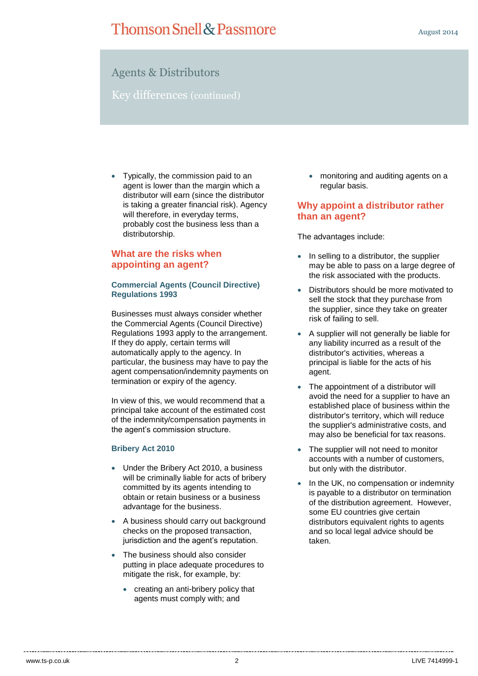### Agents & Distributors

Key differences (continued)

• Typically, the commission paid to an agent is lower than the margin which a distributor will earn (since the distributor is taking a greater financial risk). Agency will therefore, in everyday terms, probably cost the business less than a distributorship.

### **What are the risks when appointing an agent?**

### **Commercial Agents (Council Directive) Regulations 1993**

Businesses must always consider whether the Commercial Agents (Council Directive) Regulations 1993 apply to the arrangement. If they do apply, certain terms will automatically apply to the agency. In particular, the business may have to pay the agent compensation/indemnity payments on termination or expiry of the agency.

In view of this, we would recommend that a principal take account of the estimated cost of the indemnity/compensation payments in the agent's commission structure.

### **Bribery Act 2010**

- Under the Bribery Act 2010, a business will be criminally liable for acts of bribery committed by its agents intending to obtain or retain business or a business advantage for the business.
- A business should carry out background checks on the proposed transaction, jurisdiction and the agent's reputation.
- The business should also consider putting in place adequate procedures to mitigate the risk, for example, by:
	- creating an anti-bribery policy that agents must comply with; and

 monitoring and auditing agents on a regular basis.

### **Why appoint a distributor rather than an agent?**

The advantages include:

- In selling to a distributor, the supplier may be able to pass on a large degree of the risk associated with the products.
- Distributors should be more motivated to sell the stock that they purchase from the supplier, since they take on greater risk of failing to sell.
- A supplier will not generally be liable for any liability incurred as a result of the distributor's activities, whereas a principal is liable for the acts of his agent.
- The appointment of a distributor will avoid the need for a supplier to have an established place of business within the distributor's territory, which will reduce the supplier's administrative costs, and may also be beneficial for tax reasons.
- The supplier will not need to monitor accounts with a number of customers, but only with the distributor.
- In the UK, no compensation or indemnity is payable to a distributor on termination of the distribution agreement. However, some EU countries give certain distributors equivalent rights to agents and so local legal advice should be taken.